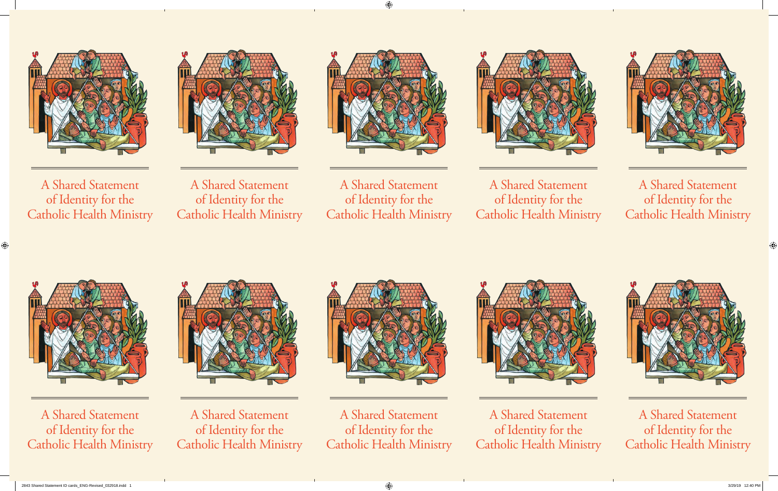

A Shared Statement of Identity for the Catholic Health Ministry